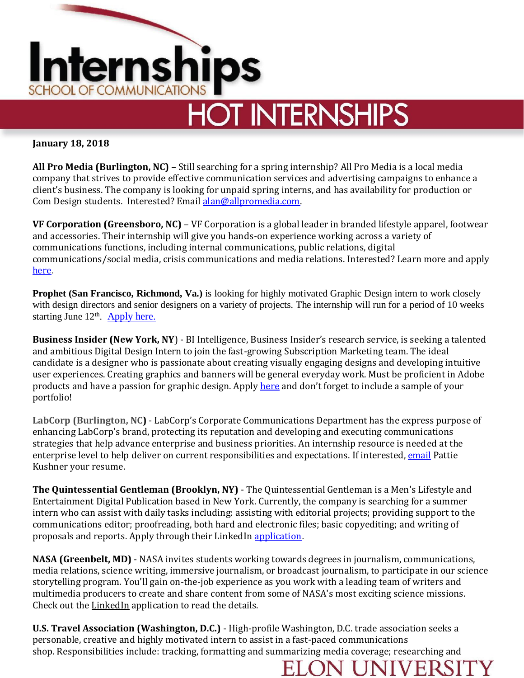

## **January 18, 2018**

**All Pro Media (Burlington, NC)** – Still searching for a spring internship? All Pro Media is a local media company that strives to provide effective communication services and advertising campaigns to enhance a client's business. The company is looking for unpaid spring interns, and has availability for production or Com Design students. Interested? Email [alan@allpromedia.com.](mailto:alan@allpromedia.com)

**VF Corporation (Greensboro, NC)** – VF Corporation is a global leader in branded lifestyle apparel, footwear and accessories. Their internship will give you hands-on experience working across a variety of communications functions, including internal communications, public relations, digital communications/social media, crisis communications and media relations. Interested? Learn more and apply [here.](https://vfc.wd5.myworkdayjobs.com/en-US/vfc_careers/job/Greensboro-NC/Corporate-Communications-Intern_R-20180103-0138)

**Prophet (San Francisco, Richmond, Va.)** is looking for highly motivated Graphic Design intern to work closely with design directors and senior designers on a variety of projects. The internship will run for a period of 10 weeks starting June 12<sup>th</sup>. [Apply here.](https://www.prophet.com/ask/work-with-us)

**Business Insider (New York, NY**) - BI Intelligence, Business Insider's research service, is seeking a talented and ambitious Digital Design Intern to join the fast-growing Subscription Marketing team. The ideal candidate is a designer who is passionate about creating visually engaging designs and developing intuitive user experiences. Creating graphics and banners will be general everyday work. Must be proficient in Adobe products and have a passion for graphic design. Apply [here](https://careers.jobscore.com/careers/businessinsider/jobs/digital-design-intern-d9rZJ69Iar55iUeMg-44q7) and don't forget to include a sample of your portfolio!

**LabCorp (Burlington, NC)** - LabCorp's Corporate Communications Department has the express purpose of enhancing LabCorp's brand, protecting its reputation and developing and executing communications strategies that help advance enterprise and business priorities. An internship resource is needed at the enterprise level to help deliver on current responsibilities and expectations. If interested, [email](mailto:kushnep@labcorp.com) Pattie Kushner your resume.

**The Quintessential Gentleman (Brooklyn, NY)** - The Quintessential Gentleman is a Men's Lifestyle and Entertainment Digital Publication based in New York. Currently, the company is searching for a summer intern who can assist with daily tasks including: assisting with editorial projects; providing support to the communications editor; proofreading, both hard and electronic files; basic copyediting; and writing of proposals and reports. Apply through their LinkedIn [application](https://www.linkedin.com/jobs/view/557381432/?refId=1516293094456&trk=d_flagship3_search_srp_jobs&lipi=urn%3Ali%3Apage%3Ad_flagship3_search_srp_jobs%3BXMZOq2jFQzOZHyPOKKJcXQ%3D%3D&licu=urn%3Ali%3Acontrol%3Ad_flagship3_search_srp_jobs-A_jobssearch_).

**NASA (Greenbelt, MD)** - NASA invites students working towards degrees in journalism, communications, media relations, science writing, immersive journalism, or broadcast journalism, to participate in our science storytelling program. You'll gain on-the-job experience as you work with a leading team of writers and multimedia producers to create and share content from some of NASA's most exciting science missions. Check out the [LinkedIn](https://www.linkedin.com/jobs/view/573579854/?recommendedFlavor=true&refId=1516292016993&trk=d_flagship3_search_srp_jobs&lipi=urn%3Ali%3Apage%3Ad_flagship3_search_srp_jobs%3BOaDSNi9jR9yxh6M2jPWuug%3D%3D&licu=urn%3Ali%3Acontrol%3Ad_flagship3_search) application to read the details.

**U.S. Travel Association (Washington, D.C.)** - High-profile Washington, D.C. trade association seeks a personable, creative and highly motivated intern to assist in a fast-paced communications shop. Responsibilities include: tracking, formatting and summarizing media coverage; researching and